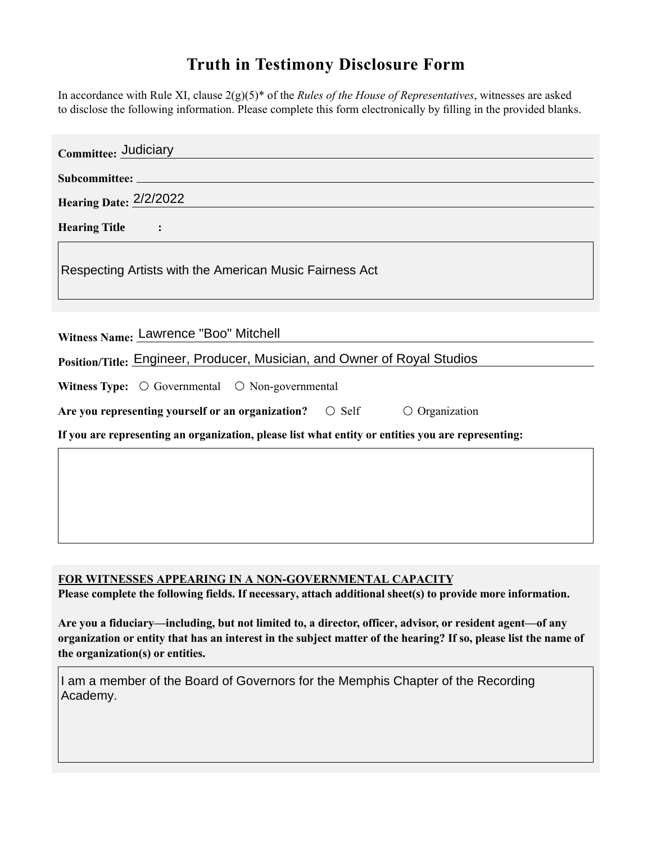## **Truth in Testimony Disclosure Form**

In accordance with Rule XI, clause 2(g)(5)\* of the *Rules of the House of Representatives*, witnesses are asked to disclose the following information. Please complete this form electronically by filling in the provided blanks.

| Committee: Judiciary                                                                               |
|----------------------------------------------------------------------------------------------------|
|                                                                                                    |
| Hearing Date: 2/2/2022                                                                             |
| <b>Hearing Title</b><br>$\sim$ $\sim$ $\sim$                                                       |
| Respecting Artists with the American Music Fairness Act                                            |
| Witness Name: Lawrence "Boo" Mitchell                                                              |
| Position/Title: Engineer, Producer, Musician, and Owner of Royal Studios                           |
| Witness Type: $\bigcirc$ Governmental $\bullet$ Non-governmental                                   |
| Are you representing yourself or an organization? • Self<br>$\circ$ Organization                   |
| If you are representing an organization, please list what entity or entities you are representing: |
|                                                                                                    |
|                                                                                                    |
|                                                                                                    |
|                                                                                                    |

**FOR WITNESSES APPEARING IN A NON-GOVERNMENTAL CAPACITY**

**Please complete the following fields. If necessary, attach additional sheet(s) to provide more information.**

**Are you a fiduciary—including, but not limited to, a director, officer, advisor, or resident agent—of any organization or entity that has an interest in the subject matter of the hearing? If so, please list the name of the organization(s) or entities.**

I am a member of the Board of Governors for the Memphis Chapter of the Recording Academy.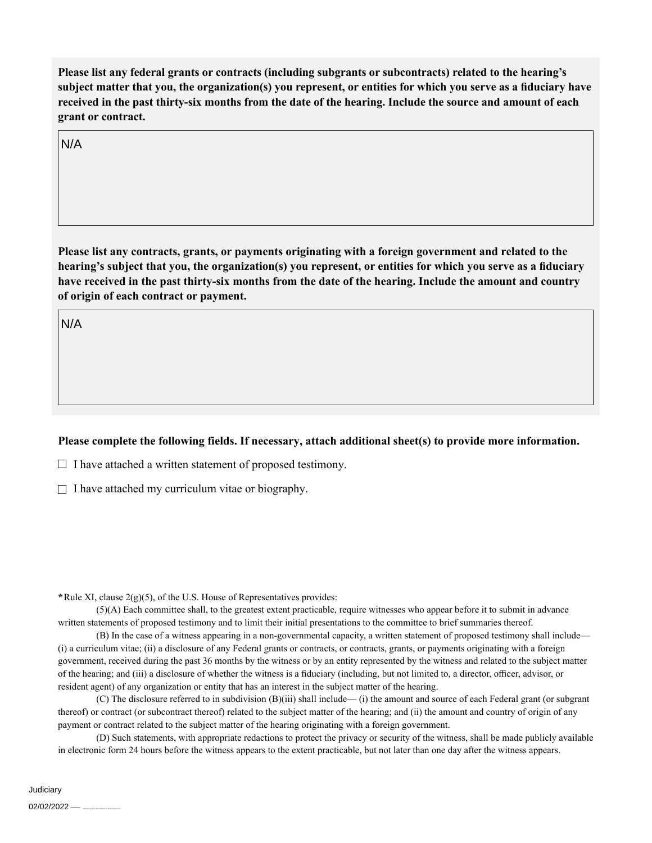**Please list any federal grants or contracts (including subgrants or subcontracts) related to the hearing's subject matter that you, the organization(s) you represent, or entities for which you serve as a fiduciary have received in the past thirty-six months from the date of the hearing. Include the source and amount of each grant or contract.** 

N/A

**Please list any contracts, grants, or payments originating with a foreign government and related to the hearing's subject that you, the organization(s) you represent, or entities for which you serve as a fiduciary have received in the past thirty-six months from the date of the hearing. Include the amount and country of origin of each contract or payment.** 

N/A

## **Please complete the following fields. If necessary, attach additional sheet(s) to provide more information.**

 $\exists$  I have attached a written statement of proposed testimony.

 $\subseteq$  I have attached my curriculum vitae or biography.

**\***Rule XI, clause 2(g)(5), of the U.S. House of Representatives provides:

(5)(A) Each committee shall, to the greatest extent practicable, require witnesses who appear before it to submit in advance written statements of proposed testimony and to limit their initial presentations to the committee to brief summaries thereof.

(B) In the case of a witness appearing in a non-governmental capacity, a written statement of proposed testimony shall include— (i) a curriculum vitae; (ii) a disclosure of any Federal grants or contracts, or contracts, grants, or payments originating with a foreign government, received during the past 36 months by the witness or by an entity represented by the witness and related to the subject matter of the hearing; and (iii) a disclosure of whether the witness is a fiduciary (including, but not limited to, a director, officer, advisor, or resident agent) of any organization or entity that has an interest in the subject matter of the hearing.

(C) The disclosure referred to in subdivision (B)(iii) shall include— (i) the amount and source of each Federal grant (or subgrant thereof) or contract (or subcontract thereof) related to the subject matter of the hearing; and (ii) the amount and country of origin of any payment or contract related to the subject matter of the hearing originating with a foreign government.

(D) Such statements, with appropriate redactions to protect the privacy or security of the witness, shall be made publicly available in electronic form 24 hours before the witness appears to the extent practicable, but not later than one day after the witness appears.